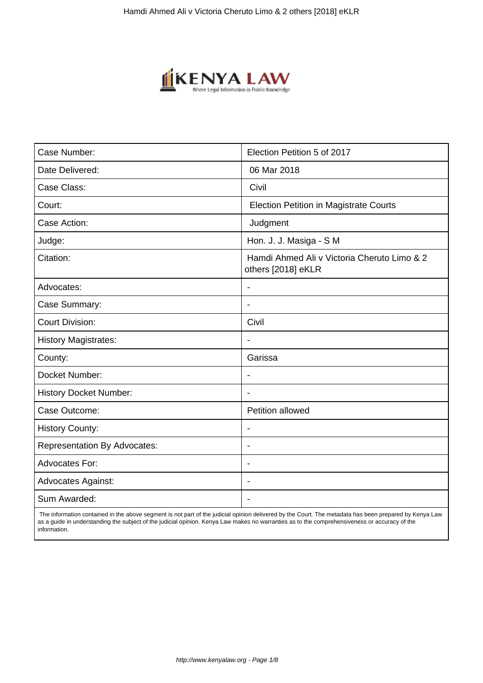

| Case Number:                        | Election Petition 5 of 2017                                       |
|-------------------------------------|-------------------------------------------------------------------|
| Date Delivered:                     | 06 Mar 2018                                                       |
| Case Class:                         | Civil                                                             |
| Court:                              | <b>Election Petition in Magistrate Courts</b>                     |
| Case Action:                        | Judgment                                                          |
| Judge:                              | Hon. J. J. Masiga - S M                                           |
| Citation:                           | Hamdi Ahmed Ali v Victoria Cheruto Limo & 2<br>others [2018] eKLR |
| Advocates:                          | $\overline{\phantom{a}}$                                          |
| Case Summary:                       | $\blacksquare$                                                    |
| <b>Court Division:</b>              | Civil                                                             |
| <b>History Magistrates:</b>         | $\blacksquare$                                                    |
| County:                             | Garissa                                                           |
| Docket Number:                      | $\blacksquare$                                                    |
| <b>History Docket Number:</b>       |                                                                   |
| Case Outcome:                       | Petition allowed                                                  |
| <b>History County:</b>              | $\overline{\phantom{a}}$                                          |
| <b>Representation By Advocates:</b> | $\blacksquare$                                                    |
| <b>Advocates For:</b>               | $\blacksquare$                                                    |
| <b>Advocates Against:</b>           | $\blacksquare$                                                    |
| Sum Awarded:                        |                                                                   |

 The information contained in the above segment is not part of the judicial opinion delivered by the Court. The metadata has been prepared by Kenya Law as a guide in understanding the subject of the judicial opinion. Kenya Law makes no warranties as to the comprehensiveness or accuracy of the information.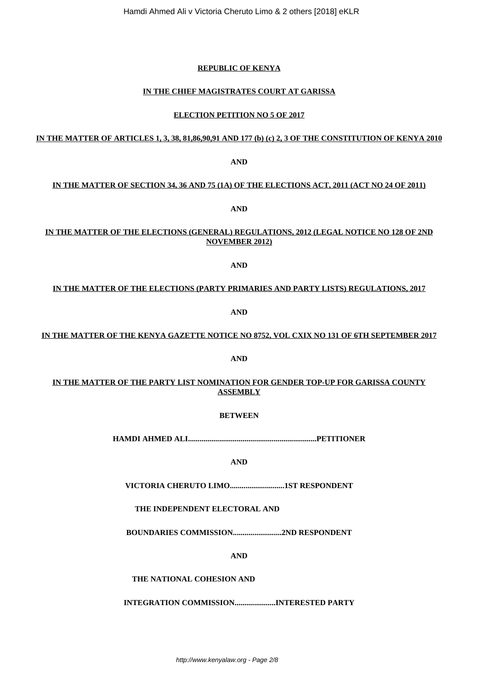**VICTORIA CHERUTO LIMO............................1ST RESPONDENT**

**THE INDEPENDENT ELECTORAL AND**

**BOUNDARIES COMMISSION.........................2ND RESPONDENT**

**AND**

**THE NATIONAL COHESION AND**

**INTEGRATION COMMISSION.....................INTERESTED PARTY**

Hamdi Ahmed Ali v Victoria Cheruto Limo & 2 others [2018] eKLR

# **REPUBLIC OF KENYA**

# **IN THE CHIEF MAGISTRATES COURT AT GARISSA**

# **ELECTION PETITION NO 5 OF 2017**

# **IN THE MATTER OF ARTICLES 1, 3, 38, 81,86,90,91 AND 177 (b) (c) 2, 3 OF THE CONSTITUTION OF KENYA 2010**

# **IN THE MATTER OF SECTION 34, 36 AND 75 (1A) OF THE ELECTIONS ACT, 2011 (ACT NO 24 OF 2011)**

**AND**

# **IN THE MATTER OF THE ELECTIONS (GENERAL) REGULATIONS, 2012 (LEGAL NOTICE NO 128 OF 2ND NOVEMBER 2012)**

**AND**

# **IN THE MATTER OF THE ELECTIONS (PARTY PRIMARIES AND PARTY LISTS) REGULATIONS, 2017**

**AND**

**IN THE MATTER OF THE KENYA GAZETTE NOTICE NO 8752, VOL CXIX NO 131 OF 6TH SEPTEMBER 2017**

**AND**

# **IN THE MATTER OF THE PARTY LIST NOMINATION FOR GENDER TOP-UP FOR GARISSA COUNTY**

**ASSEMBLY**

**BETWEEN**

**HAMDI AHMED ALI..................................................................PETITIONER**

**AND**

**AND**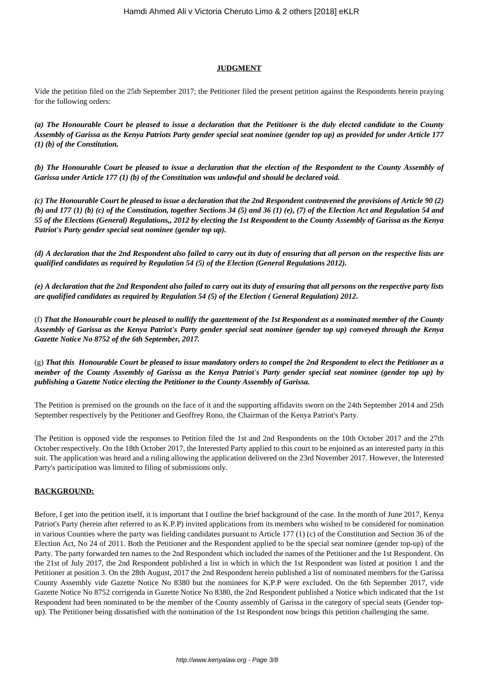# **JUDGMENT**

Vide the petition filed on the 25th September 2017; the Petitioner filed the present petition against the Respondents herein praying for the following orders:

*(a) The Honourable Court be pleased to issue a declaration that the Petitioner is the duly elected candidate to the County Assembly of Garissa as the Kenya Patriots Party gender special seat nominee (gender top up) as provided for under Article 177 (1) (b) of the Constitution.*

*(b) The Honourable Court be pleased to issue a declaration that the election of the Respondent to the County Assembly of Garissa under Article 177 (1) (b) of the Constitution was unlawful and should be declared void.*

*(c) The Honourable Court be pleased to issue a declaration that the 2nd Respondent contravened the provisions of Article 90 (2) (b) and 177 (1) (b) (c) of the Constitution, together Sections 34 (5) and 36 (1) (e), (7) of the Election Act and Regulation 54 and 55 of the Elections (General) Regulations,, 2012 by electing the 1st Respondent to the County Assembly of Garissa as the Kenya Patriot's Party gender special seat nominee (gender top up).*

*(d) A declaration that the 2nd Respondent also failed to carry out its duty of ensuring that all person on the respective lists are qualified candidates as required by Regulation 54 (5) of the Election (General Regulations 2012).*

*(e) A declaration that the 2nd Respondent also failed to carry out its duty of ensuring that all persons on the respective party lists are qualified candidates as required by Regulation 54 (5) of the Election ( General Regulation) 2012.*

(f) *That the Honourable court be pleased to nullify the gazettement of the 1st Respondent as a nominated member of the County Assembly of Garissa as the Kenya Patriot's Party gender special seat nominee (gender top up) conveyed through the Kenya Gazette Notice No 8752 of the 6th September, 2017.*

(g) *That this Honourable Court be pleased to issue mandatory orders to compel the 2nd Respondent to elect the Petitioner as a member of the County Assembly of Garissa as the Kenya Patriot's Party gender special seat nominee (gender top up) by publishing a Gazette Notice electing the Petitioner to the County Assembly of Garissa.*

The Petition is premised on the grounds on the face of it and the supporting affidavits sworn on the 24th September 2014 and 25th September respectively by the Petitioner and Geoffrey Rono, the Chairman of the Kenya Patriot's Party.

The Petition is opposed vide the responses to Petition filed the 1st and 2nd Respondents on the 10th October 2017 and the 27th October respectively. On the 18th October 2017, the Interested Party applied to this court to be enjoined as an interested party in this suit. The application was heard and a ruling allowing the application delivered on the 23rd November 2017. However, the Interested Party's participation was limited to filing of submissions only.

# **BACKGROUND:**

Before, I get into the petition itself, it is important that I outline the brief background of the case. In the month of June 2017, Kenya Patriot's Party (herein after referred to as K.P.P) invited applications from its members who wished to be considered for nomination in various Counties where the party was fielding candidates pursuant to Article 177 (1) (c) of the Constitution and Section 36 of the Election Act, No 24 of 2011. Both the Petitioner and the Respondent applied to be the special seat nominee (gender top-up) of the Party. The party forwarded ten names to the 2nd Respondent which included the names of the Petitioner and the 1st Respondent. On the 21st of July 2017, the 2nd Respondent published a list in which in which the 1st Respondent was listed at position 1 and the Petitioner at position 3. On the 28th August, 2017 the 2nd Respondent herein published a list of nominated members for the Garissa County Assembly vide Gazette Notice No 8380 but the nominees for K.P.P were excluded. On the 6th September 2017, vide Gazette Notice No 8752 corrigenda in Gazette Notice No 8380, the 2nd Respondent published a Notice which indicated that the 1st Respondent had been nominated to be the member of the County assembly of Garissa in the category of special seats (Gender topup). The Petitioner being dissatisfied with the nomination of the 1st Respondent now brings this petition challenging the same.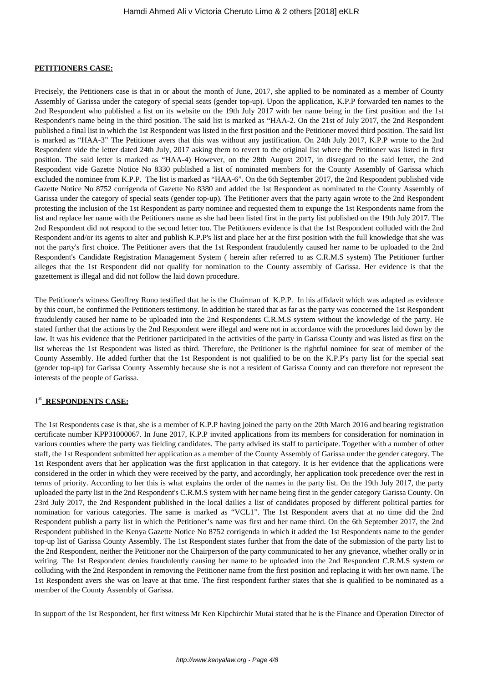#### **PETITIONERS CASE:**

Precisely, the Petitioners case is that in or about the month of June, 2017, she applied to be nominated as a member of County Assembly of Garissa under the category of special seats (gender top-up). Upon the application, K.P.P forwarded ten names to the 2nd Respondent who published a list on its website on the 19th July 2017 with her name being in the first position and the 1st Respondent's name being in the third position. The said list is marked as "HAA-2. On the 21st of July 2017, the 2nd Respondent published a final list in which the 1st Respondent was listed in the first position and the Petitioner moved third position. The said list is marked as "HAA-3" The Petitioner avers that this was without any justification. On 24th July 2017, K.P.P wrote to the 2nd Respondent vide the letter dated 24th July, 2017 asking them to revert to the original list where the Petitioner was listed in first position. The said letter is marked as "HAA-4) However, on the 28th August 2017, in disregard to the said letter, the 2nd Respondent vide Gazette Notice No 8330 published a list of nominated members for the County Assembly of Garissa which excluded the nominee from K.P.P. The list is marked as "HAA-6". On the 6th September 2017, the 2nd Respondent published vide Gazette Notice No 8752 corrigenda of Gazette No 8380 and added the 1st Respondent as nominated to the County Assembly of Garissa under the category of special seats (gender top-up). The Petitioner avers that the party again wrote to the 2nd Respondent protesting the inclusion of the 1st Respondent as party nominee and requested them to expunge the 1st Respondents name from the list and replace her name with the Petitioners name as she had been listed first in the party list published on the 19th July 2017. The 2nd Respondent did not respond to the second letter too. The Petitioners evidence is that the 1st Respondent colluded with the 2nd Respondent and/or its agents to alter and publish K.P.P's list and place her at the first position with the full knowledge that she was not the party's first choice. The Petitioner avers that the 1st Respondent fraudulently caused her name to be uploaded to the 2nd Respondent's Candidate Registration Management System ( herein after referred to as C.R.M.S system) The Petitioner further alleges that the 1st Respondent did not qualify for nomination to the County assembly of Garissa. Her evidence is that the gazettement is illegal and did not follow the laid down procedure.

The Petitioner's witness Geoffrey Rono testified that he is the Chairman of K.P.P. In his affidavit which was adapted as evidence by this court, he confirmed the Petitioners testimony. In addition he stated that as far as the party was concerned the 1st Respondent fraudulently caused her name to be uploaded into the 2nd Respondents C.R.M.S system without the knowledge of the party. He stated further that the actions by the 2nd Respondent were illegal and were not in accordance with the procedures laid down by the law. It was his evidence that the Petitioner participated in the activities of the party in Garissa County and was listed as first on the list whereas the 1st Respondent was listed as third. Therefore, the Petitioner is the rightful nominee for seat of member of the County Assembly. He added further that the 1st Respondent is not qualified to be on the K.P.P's party list for the special seat (gender top-up) for Garissa County Assembly because she is not a resident of Garissa County and can therefore not represent the interests of the people of Garissa.

# 1<sup>st</sup> RESPONDENTS CASE:

The 1st Respondents case is that, she is a member of K.P.P having joined the party on the 20th March 2016 and bearing registration certificate number KPP31000067. In June 2017, K.P.P invited applications from its members for consideration for nomination in various counties where the party was fielding candidates. The party advised its staff to participate. Together with a number of other staff, the 1st Respondent submitted her application as a member of the County Assembly of Garissa under the gender category. The 1st Respondent avers that her application was the first application in that category. It is her evidence that the applications were considered in the order in which they were received by the party, and accordingly, her application took precedence over the rest in terms of priority. According to her this is what explains the order of the names in the party list. On the 19th July 2017, the party uploaded the party list in the 2nd Respondent's C.R.M.S system with her name being first in the gender category Garissa County. On 23rd July 2017, the 2nd Respondent published in the local dailies a list of candidates proposed by different political parties for nomination for various categories. The same is marked as "VCL1". The 1st Respondent avers that at no time did the 2nd Respondent publish a party list in which the Petitioner's name was first and her name third. On the 6th September 2017, the 2nd Respondent published in the Kenya Gazette Notice No 8752 corrigenda in which it added the 1st Respondents name to the gender top-up list of Garissa County Assembly. The 1st Respondent states further that from the date of the submission of the party list to the 2nd Respondent, neither the Petitioner nor the Chairperson of the party communicated to her any grievance, whether orally or in writing. The 1st Respondent denies fraudulently causing her name to be uploaded into the 2nd Respondent C.R.M.S system or colluding with the 2nd Respondent in removing the Petitioner name from the first position and replacing it with her own name. The 1st Respondent avers she was on leave at that time. The first respondent further states that she is qualified to be nominated as a member of the County Assembly of Garissa.

In support of the 1st Respondent, her first witness Mr Ken Kipchirchir Mutai stated that he is the Finance and Operation Director of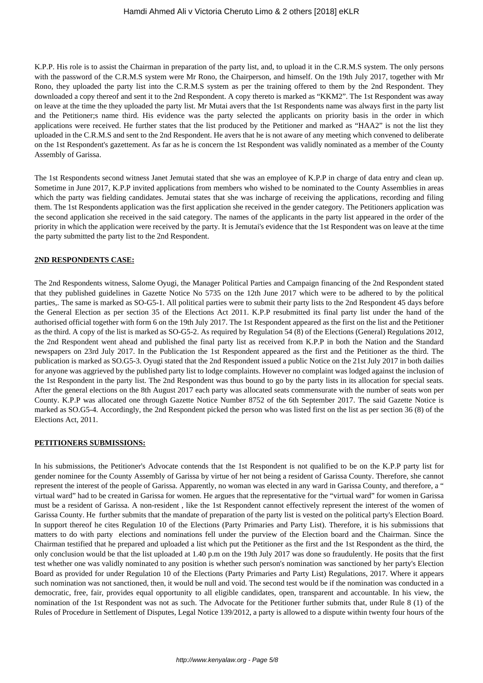K.P.P. His role is to assist the Chairman in preparation of the party list, and, to upload it in the C.R.M.S system. The only persons with the password of the C.R.M.S system were Mr Rono, the Chairperson, and himself. On the 19th July 2017, together with Mr Rono, they uploaded the party list into the C.R.M.S system as per the training offered to them by the 2nd Respondent. They downloaded a copy thereof and sent it to the 2nd Respondent. A copy thereto is marked as "KKM2". The 1st Respondent was away on leave at the time the they uploaded the party list. Mr Mutai avers that the 1st Respondents name was always first in the party list and the Petitioner;s name third. His evidence was the party selected the applicants on priority basis in the order in which applications were received. He further states that the list produced by the Petitioner and marked as "HAA2" is not the list they uploaded in the C.R.M.S and sent to the 2nd Respondent. He avers that he is not aware of any meeting which convened to deliberate on the 1st Respondent's gazettement. As far as he is concern the 1st Respondent was validly nominated as a member of the County Assembly of Garissa.

The 1st Respondents second witness Janet Jemutai stated that she was an employee of K.P.P in charge of data entry and clean up. Sometime in June 2017, K.P.P invited applications from members who wished to be nominated to the County Assemblies in areas which the party was fielding candidates. Jemutai states that she was incharge of receiving the applications, recording and filing them. The 1st Respondents application was the first application she received in the gender category. The Petitioners application was the second application she received in the said category. The names of the applicants in the party list appeared in the order of the priority in which the application were received by the party. It is Jemutai's evidence that the 1st Respondent was on leave at the time the party submitted the party list to the 2nd Respondent.

#### **2ND RESPONDENTS CASE:**

The 2nd Respondents witness, Salome Oyugi, the Manager Political Parties and Campaign financing of the 2nd Respondent stated that they published guidelines in Gazette Notice No 5735 on the 12th June 2017 which were to be adhered to by the political parties,. The same is marked as SO-G5-1. All political parties were to submit their party lists to the 2nd Respondent 45 days before the General Election as per section 35 of the Elections Act 2011. K.P.P resubmitted its final party list under the hand of the authorised official together with form 6 on the 19th July 2017. The 1st Respondent appeared as the first on the list and the Petitioner as the third. A copy of the list is marked as SO-G5-2. As required by Regulation 54 (8) of the Elections (General) Regulations 2012, the 2nd Respondent went ahead and published the final party list as received from K.P.P in both the Nation and the Standard newspapers on 23rd July 2017. In the Publication the 1st Respondent appeared as the first and the Petitioner as the third. The publication is marked as SO.G5-3. Oyugi stated that the 2nd Respondent issued a public Notice on the 21st July 2017 in both dailies for anyone was aggrieved by the published party list to lodge complaints. However no complaint was lodged against the inclusion of the 1st Respondent in the party list. The 2nd Respondent was thus bound to go by the party lists in its allocation for special seats. After the general elections on the 8th August 2017 each party was allocated seats commensurate with the number of seats won per County. K.P.P was allocated one through Gazette Notice Number 8752 of the 6th September 2017. The said Gazette Notice is marked as SO.G5-4. Accordingly, the 2nd Respondent picked the person who was listed first on the list as per section 36 (8) of the Elections Act, 2011.

#### **PETITIONERS SUBMISSIONS:**

In his submissions, the Petitioner's Advocate contends that the 1st Respondent is not qualified to be on the K.P.P party list for gender nominee for the County Assembly of Garissa by virtue of her not being a resident of Garissa County. Therefore, she cannot represent the interest of the people of Garissa. Apparently, no woman was elected in any ward in Garissa County, and therefore, a " virtual ward" had to be created in Garissa for women. He argues that the representative for the "virtual ward" for women in Garissa must be a resident of Garissa. A non-resident , like the 1st Respondent cannot effectively represent the interest of the women of Garissa County. He further submits that the mandate of preparation of the party list is vested on the political party's Election Board. In support thereof he cites Regulation 10 of the Elections (Party Primaries and Party List). Therefore, it is his submissions that matters to do with party elections and nominations fell under the purview of the Election board and the Chairman. Since the Chairman testified that he prepared and uploaded a list which put the Petitioner as the first and the 1st Respondent as the third, the only conclusion would be that the list uploaded at 1.40 p.m on the 19th July 2017 was done so fraudulently. He posits that the first test whether one was validly nominated to any position is whether such person's nomination was sanctioned by her party's Election Board as provided for under Regulation 10 of the Elections (Party Primaries and Party List) Regulations, 2017. Where it appears such nomination was not sanctioned, then, it would be null and void. The second test would be if the nomination was conducted in a democratic, free, fair, provides equal opportunity to all eligible candidates, open, transparent and accountable. In his view, the nomination of the 1st Respondent was not as such. The Advocate for the Petitioner further submits that, under Rule 8 (1) of the Rules of Procedure in Settlement of Disputes, Legal Notice 139/2012, a party is allowed to a dispute within twenty four hours of the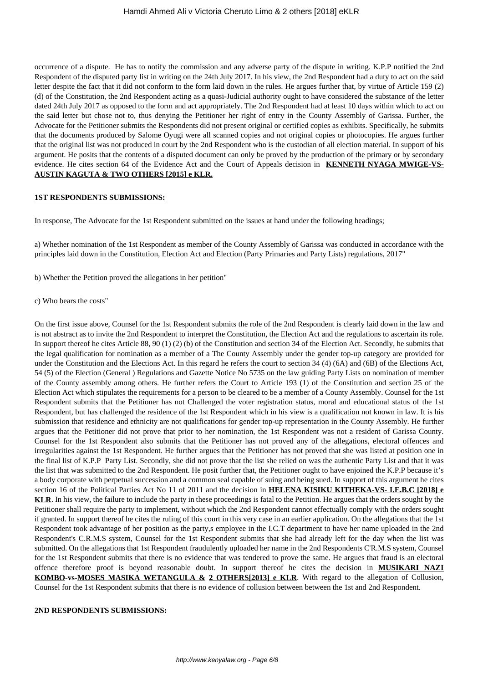occurrence of a dispute. He has to notify the commission and any adverse party of the dispute in writing. K.P.P notified the 2nd Respondent of the disputed party list in writing on the 24th July 2017. In his view, the 2nd Respondent had a duty to act on the said letter despite the fact that it did not conform to the form laid down in the rules. He argues further that, by virtue of Article 159 (2) (d) of the Constitution, the 2nd Respondent acting as a quasi-Judicial authority ought to have considered the substance of the letter dated 24th July 2017 as opposed to the form and act appropriately. The 2nd Respondent had at least 10 days within which to act on the said letter but chose not to, thus denying the Petitioner her right of entry in the County Assembly of Garissa. Further, the Advocate for the Petitioner submits the Respondents did not present original or certified copies as exhibits. Specifically, he submits that the documents produced by Salome Oyugi were all scanned copies and not original copies or photocopies. He argues further that the original list was not produced in court by the 2nd Respondent who is the custodian of all election material. In support of his argument. He posits that the contents of a disputed document can only be proved by the production of the primary or by secondary evidence. He cites section 64 of the Evidence Act and the Court of Appeals decision in **KENNETH NYAGA MWIGE-VS-AUSTIN KAGUTA & TWO OTHERS [2015] e KLR.**

#### **1ST RESPONDENTS SUBMISSIONS:**

In response, The Advocate for the 1st Respondent submitted on the issues at hand under the following headings;

a) Whether nomination of the 1st Respondent as member of the County Assembly of Garissa was conducted in accordance with the principles laid down in the Constitution, Election Act and Election (Party Primaries and Party Lists) regulations, 2017"

- b) Whether the Petition proved the allegations in her petition"
- c) Who bears the costs"

On the first issue above, Counsel for the 1st Respondent submits the role of the 2nd Respondent is clearly laid down in the law and is not abstract as to invite the 2nd Respondent to interpret the Constitution, the Election Act and the regulations to ascertain its role. In support thereof he cites Article 88, 90 (1) (2) (b) of the Constitution and section 34 of the Election Act. Secondly, he submits that the legal qualification for nomination as a member of a The County Assembly under the gender top-up category are provided for under the Constitution and the Elections Act. In this regard he refers the court to section 34 (4) (6A) and (6B) of the Elections Act, 54 (5) of the Election (General ) Regulations and Gazette Notice No 5735 on the law guiding Party Lists on nomination of member of the County assembly among others. He further refers the Court to Article 193 (1) of the Constitution and section 25 of the Election Act which stipulates the requirements for a person to be cleared to be a member of a County Assembly. Counsel for the 1st Respondent submits that the Petitioner has not Challenged the voter registration status, moral and educational status of the 1st Respondent, but has challenged the residence of the 1st Respondent which in his view is a qualification not known in law. It is his submission that residence and ethnicity are not qualifications for gender top-up representation in the County Assembly. He further argues that the Petitioner did not prove that prior to her nomination, the 1st Respondent was not a resident of Garissa County. Counsel for the 1st Respondent also submits that the Petitioner has not proved any of the allegations, electoral offences and irregularities against the 1st Respondent. He further argues that the Petitioner has not proved that she was listed at position one in the final list of K.P.P Party List. Secondly, she did not prove that the list she relied on was the authentic Party List and that it was the list that was submitted to the 2nd Respondent. He posit further that, the Petitioner ought to have enjoined the K.P.P because it's a body corporate with perpetual succession and a common seal capable of suing and being sued. In support of this argument he cites section 16 of the Political Parties Act No 11 of 2011 and the decision in **HELENA KISIKU KITHEKA-VS- I.E.B.C [2018] e KLR**. In his view, the failure to include the party in these proceedings is fatal to the Petition. He argues that the orders sought by the Petitioner shall require the party to implement, without which the 2nd Respondent cannot effectually comply with the orders sought if granted. In support thereof he cites the ruling of this court in this very case in an earlier application. On the allegations that the 1st Respondent took advantage of her position as the party,s employee in the I.C.T department to have her name uploaded in the 2nd Respondent's C.R.M.S system, Counsel for the 1st Respondent submits that she had already left for the day when the list was submitted. On the allegations that 1st Respondent fraudulently uploaded her name in the 2nd Respondents C'R.M.S system, Counsel for the 1st Respondent submits that there is no evidence that was tendered to prove the same. He argues that fraud is an electoral offence therefore proof is beyond reasonable doubt. In support thereof he cites the decision in **MUSIKARI NAZI KOMBO-vs-MOSES MASIKA WETANGULA & 2 OTHERS[2013] e KLR**. With regard to the allegation of Collusion, Counsel for the 1st Respondent submits that there is no evidence of collusion between between the 1st and 2nd Respondent.

#### **2ND RESPONDENTS SUBMISSIONS:**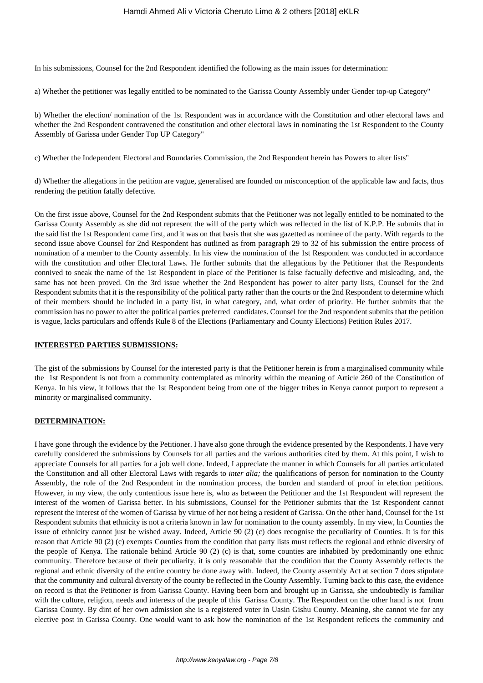In his submissions, Counsel for the 2nd Respondent identified the following as the main issues for determination:

a) Whether the petitioner was legally entitled to be nominated to the Garissa County Assembly under Gender top-up Category"

b) Whether the election/ nomination of the 1st Respondent was in accordance with the Constitution and other electoral laws and whether the 2nd Respondent contravened the constitution and other electoral laws in nominating the 1st Respondent to the County Assembly of Garissa under Gender Top UP Category"

c) Whether the Independent Electoral and Boundaries Commission, the 2nd Respondent herein has Powers to alter lists"

d) Whether the allegations in the petition are vague, generalised are founded on misconception of the applicable law and facts, thus rendering the petition fatally defective.

On the first issue above, Counsel for the 2nd Respondent submits that the Petitioner was not legally entitled to be nominated to the Garissa County Assembly as she did not represent the will of the party which was reflected in the list of K.P.P. He submits that in the said list the 1st Respondent came first, and it was on that basis that she was gazetted as nominee of the party. With regards to the second issue above Counsel for 2nd Respondent has outlined as from paragraph 29 to 32 of his submission the entire process of nomination of a member to the County assembly. In his view the nomination of the 1st Respondent was conducted in accordance with the constitution and other Electoral Laws. He further submits that the allegations by the Petitioner that the Respondents connived to sneak the name of the 1st Respondent in place of the Petitioner is false factually defective and misleading, and, the same has not been proved. On the 3rd issue whether the 2nd Respondent has power to alter party lists, Counsel for the 2nd Respondent submits that it is the responsibility of the political party rather than the courts or the 2nd Respondent to determine which of their members should be included in a party list, in what category, and, what order of priority. He further submits that the commission has no power to alter the political parties preferred candidates. Counsel for the 2nd respondent submits that the petition is vague, lacks particulars and offends Rule 8 of the Elections (Parliamentary and County Elections) Petition Rules 2017.

### **INTERESTED PARTIES SUBMISSIONS:**

The gist of the submissions by Counsel for the interested party is that the Petitioner herein is from a marginalised community while the 1st Respondent is not from a community contemplated as minority within the meaning of Article 260 of the Constitution of Kenya. In his view, it follows that the 1st Respondent being from one of the bigger tribes in Kenya cannot purport to represent a minority or marginalised community.

# **DETERMINATION:**

I have gone through the evidence by the Petitioner. I have also gone through the evidence presented by the Respondents. I have very carefully considered the submissions by Counsels for all parties and the various authorities cited by them. At this point, I wish to appreciate Counsels for all parties for a job well done. Indeed, I appreciate the manner in which Counsels for all parties articulated the Constitution and all other Electoral Laws with regards to *inter alia;* the qualifications of person for nomination to the County Assembly, the role of the 2nd Respondent in the nomination process, the burden and standard of proof in election petitions. However, in my view, the only contentious issue here is, who as between the Petitioner and the 1st Respondent will represent the interest of the women of Garissa better. In his submissions, Counsel for the Petitioner submits that the 1st Respondent cannot represent the interest of the women of Garissa by virtue of her not being a resident of Garissa. On the other hand, Counsel for the 1st Respondent submits that ethnicity is not a criteria known in law for nomination to the county assembly. In my view, ln Counties the issue of ethnicity cannot just be wished away. Indeed, Article 90 (2) (c) does recognise the peculiarity of Counties. It is for this reason that Article 90 (2) (c) exempts Counties from the condition that party lists must reflects the regional and ethnic diversity of the people of Kenya. The rationale behind Article 90 (2) (c) is that, some counties are inhabited by predominantly one ethnic community. Therefore because of their peculiarity, it is only reasonable that the condition that the County Assembly reflects the regional and ethnic diversity of the entire country be done away with. Indeed, the County assembly Act at section 7 does stipulate that the community and cultural diversity of the county be reflected in the County Assembly. Turning back to this case, the evidence on record is that the Petitioner is from Garissa County. Having been born and brought up in Garissa, she undoubtedly is familiar with the culture, religion, needs and interests of the people of this Garissa County. The Respondent on the other hand is not from Garissa County. By dint of her own admission she is a registered voter in Uasin Gishu County. Meaning, she cannot vie for any elective post in Garissa County. One would want to ask how the nomination of the 1st Respondent reflects the community and